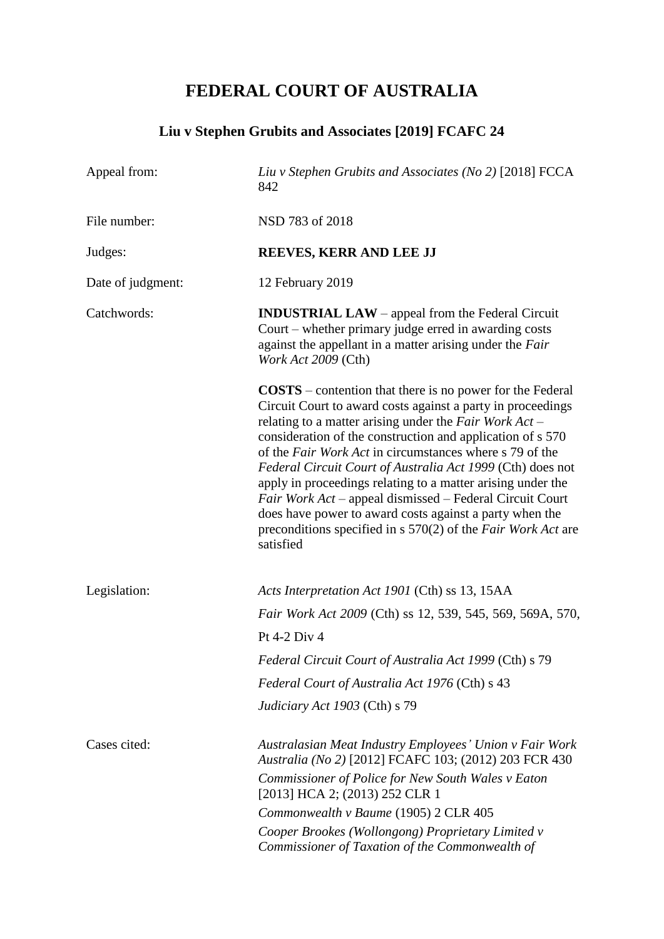# **FEDERAL COURT OF AUSTRALIA**

## **Liu v Stephen Grubits and Associates [2019] FCAFC 24**

| Appeal from:      | Liu v Stephen Grubits and Associates (No 2) [2018] FCCA<br>842                                                                                                                                                                                                                                                                                                                                                                                                                                                                                                                                                                                                           |
|-------------------|--------------------------------------------------------------------------------------------------------------------------------------------------------------------------------------------------------------------------------------------------------------------------------------------------------------------------------------------------------------------------------------------------------------------------------------------------------------------------------------------------------------------------------------------------------------------------------------------------------------------------------------------------------------------------|
| File number:      | NSD 783 of 2018                                                                                                                                                                                                                                                                                                                                                                                                                                                                                                                                                                                                                                                          |
| Judges:           | REEVES, KERR AND LEE JJ                                                                                                                                                                                                                                                                                                                                                                                                                                                                                                                                                                                                                                                  |
| Date of judgment: | 12 February 2019                                                                                                                                                                                                                                                                                                                                                                                                                                                                                                                                                                                                                                                         |
| Catchwords:       | <b>INDUSTRIAL LAW</b> – appeal from the Federal Circuit<br>Court – whether primary judge erred in awarding costs<br>against the appellant in a matter arising under the Fair<br>Work Act 2009 (Cth)                                                                                                                                                                                                                                                                                                                                                                                                                                                                      |
|                   | $\textbf{COSTS}$ – contention that there is no power for the Federal<br>Circuit Court to award costs against a party in proceedings<br>relating to a matter arising under the Fair Work $Act-$<br>consideration of the construction and application of s 570<br>of the <i>Fair Work Act</i> in circumstances where s 79 of the<br>Federal Circuit Court of Australia Act 1999 (Cth) does not<br>apply in proceedings relating to a matter arising under the<br>Fair Work Act – appeal dismissed – Federal Circuit Court<br>does have power to award costs against a party when the<br>preconditions specified in $s$ 570(2) of the <i>Fair Work Act</i> are<br>satisfied |
| Legislation:      | Acts Interpretation Act 1901 (Cth) ss 13, 15AA<br>Fair Work Act 2009 (Cth) ss 12, 539, 545, 569, 569A, 570,<br>Pt 4-2 Div 4<br>Federal Circuit Court of Australia Act 1999 (Cth) s 79<br>Federal Court of Australia Act 1976 (Cth) s 43<br>Judiciary Act 1903 (Cth) s 79                                                                                                                                                                                                                                                                                                                                                                                                 |
| Cases cited:      | Australasian Meat Industry Employees' Union v Fair Work<br>Australia (No 2) [2012] FCAFC 103; (2012) 203 FCR 430<br>Commissioner of Police for New South Wales v Eaton<br>[2013] HCA 2; (2013) 252 CLR 1<br>Commonwealth v Baume (1905) 2 CLR 405<br>Cooper Brookes (Wollongong) Proprietary Limited v<br>Commissioner of Taxation of the Commonwealth of                                                                                                                                                                                                                                                                                                                |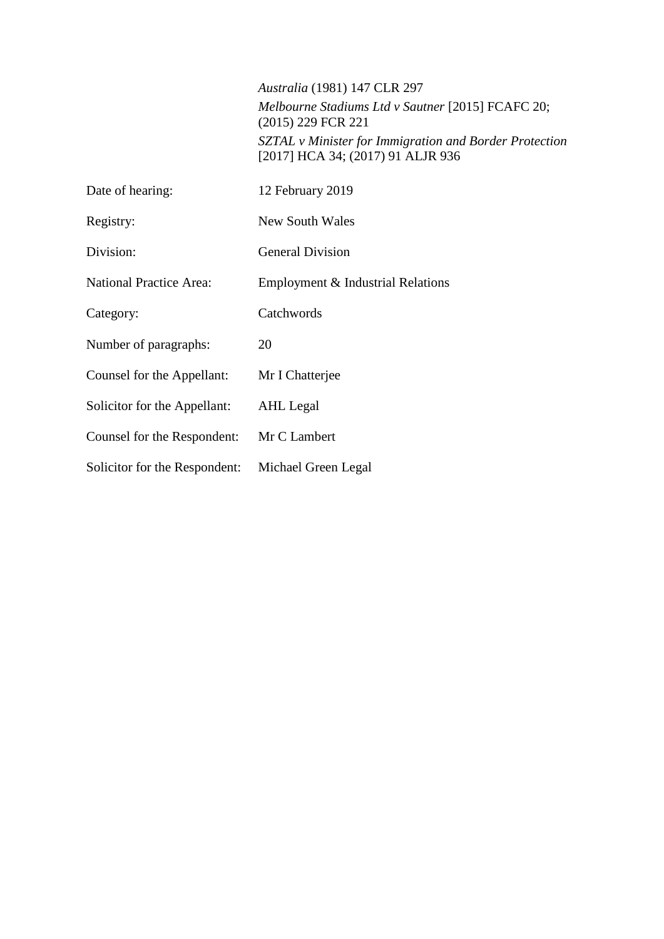*Australia* (1981) 147 CLR 297 *Melbourne Stadiums Ltd v Sautner* [2015] FCAFC 20; (2015) 229 FCR 221 *SZTAL v Minister for Immigration and Border Protection* [2017] HCA 34; (2017) 91 ALJR 936

| Date of hearing:               | 12 February 2019                  |
|--------------------------------|-----------------------------------|
| Registry:                      | New South Wales                   |
| Division:                      | <b>General Division</b>           |
| <b>National Practice Area:</b> | Employment & Industrial Relations |
| Category:                      | Catchwords                        |
| Number of paragraphs:          | 20                                |
| Counsel for the Appellant:     | Mr I Chatterjee                   |
| Solicitor for the Appellant:   | AHL Legal                         |
| Counsel for the Respondent:    | Mr C Lambert                      |
| Solicitor for the Respondent:  | Michael Green Legal               |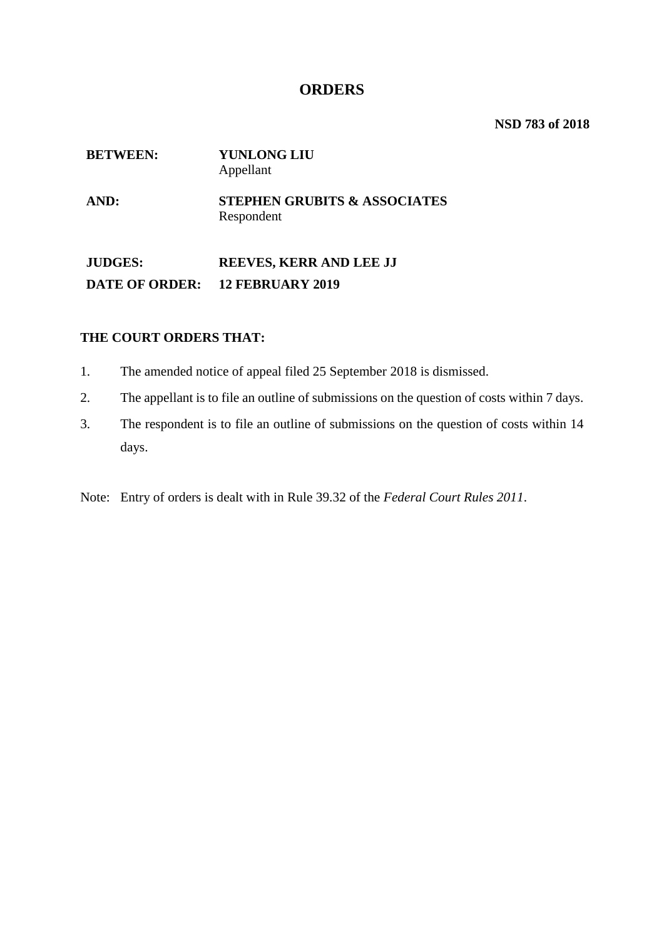#### **ORDERS**

**NSD 783 of 2018**

# **BETWEEN: YUNLONG LIU** Appellant **AND: STEPHEN GRUBITS & ASSOCIATES** Respondent

**JUDGES: REEVES, KERR AND LEE JJ DATE OF ORDER: 12 FEBRUARY 2019**

#### **THE COURT ORDERS THAT:**

- 1. The amended notice of appeal filed 25 September 2018 is dismissed.
- 2. The appellant is to file an outline of submissions on the question of costs within 7 days.
- 3. The respondent is to file an outline of submissions on the question of costs within 14 days.
- Note: Entry of orders is dealt with in Rule 39.32 of the *Federal Court Rules 2011*.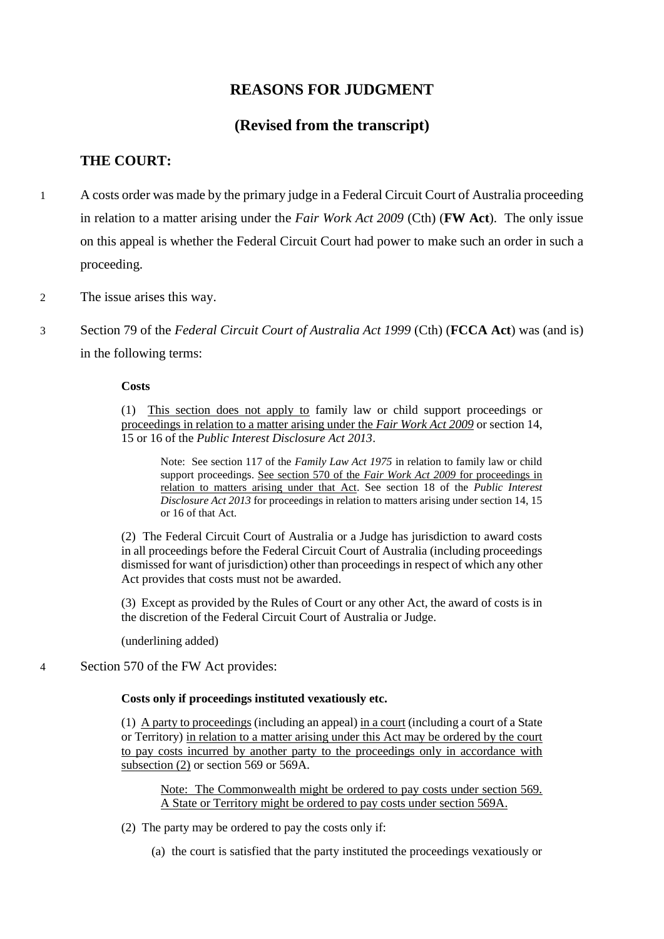## **REASONS FOR JUDGMENT**

## **(Revised from the transcript)**

#### **THE COURT:**

- 1 A costs order was made by the primary judge in a Federal Circuit Court of Australia proceeding in relation to a matter arising under the *Fair Work Act 2009* (Cth) (**FW Act**). The only issue on this appeal is whether the Federal Circuit Court had power to make such an order in such a proceeding.
- 2 The issue arises this way.
- 3 Section 79 of the *Federal Circuit Court of Australia Act 1999* (Cth) (**FCCA Act**) was (and is) in the following terms:

#### **Costs**

(1) This section does not apply to family law or child support proceedings or proceedings in relation to a matter arising under the *Fair Work Act 2009* or section 14, 15 or 16 of the *Public Interest Disclosure Act 2013*.

Note: See section 117 of the *Family Law Act 1975* in relation to family law or child support proceedings. See section 570 of the *Fair Work Act 2009* for proceedings in relation to matters arising under that Act. See section 18 of the *Public Interest Disclosure Act 2013* for proceedings in relation to matters arising under section 14, 15 or 16 of that Act.

(2) The Federal Circuit Court of Australia or a Judge has jurisdiction to award costs in all proceedings before the Federal Circuit Court of Australia (including proceedings dismissed for want of jurisdiction) other than proceedings in respect of which any other Act provides that costs must not be awarded.

(3) Except as provided by the Rules of Court or any other Act, the award of costs is in the discretion of the Federal Circuit Court of Australia or Judge.

(underlining added)

4 Section 570 of the FW Act provides:

#### **Costs only if proceedings instituted vexatiously etc.**

(1) A party to proceedings (including an appeal) in a court (including a court of a State or Territory) in relation to a matter arising under this Act may be ordered by the court to pay costs incurred by another party to the proceedings only in accordance with subsection (2) or section 569 or 569A.

Note: The Commonwealth might be ordered to pay costs under section 569. A State or Territory might be ordered to pay costs under section 569A.

- (2) The party may be ordered to pay the costs only if:
	- (a) the court is satisfied that the party instituted the proceedings vexatiously or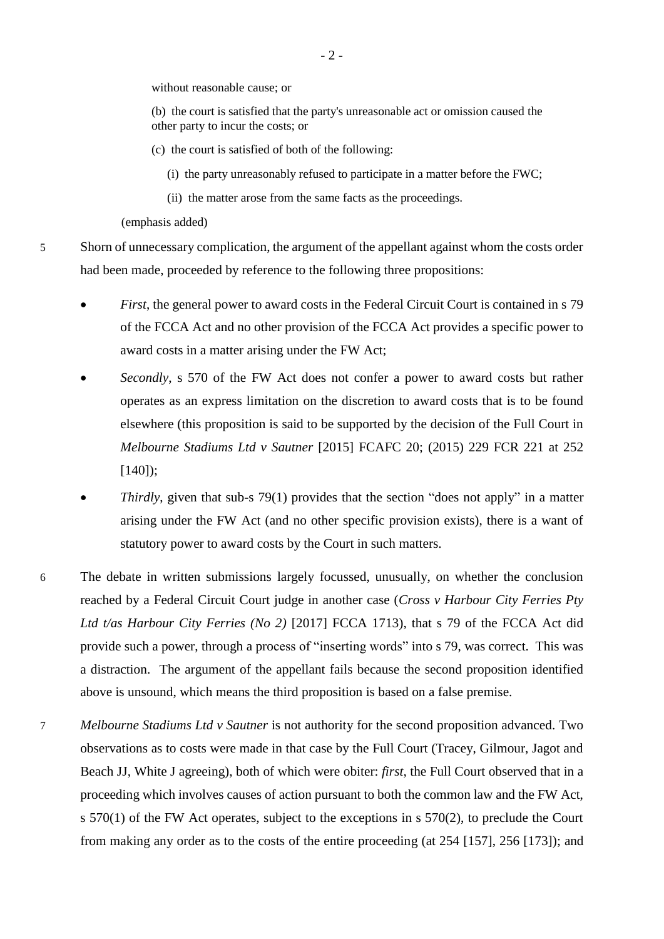without reasonable cause; or

(b) the court is satisfied that the party's unreasonable act or omission caused the other party to incur the costs; or

- (c) the court is satisfied of both of the following:
	- (i) the party unreasonably refused to participate in a matter before the FWC;
	- (ii) the matter arose from the same facts as the proceedings.

(emphasis added)

5 Shorn of unnecessary complication, the argument of the appellant against whom the costs order had been made, proceeded by reference to the following three propositions:

- *First*, the general power to award costs in the Federal Circuit Court is contained in s 79 of the FCCA Act and no other provision of the FCCA Act provides a specific power to award costs in a matter arising under the FW Act;
- *Secondly*, s 570 of the FW Act does not confer a power to award costs but rather operates as an express limitation on the discretion to award costs that is to be found elsewhere (this proposition is said to be supported by the decision of the Full Court in *Melbourne Stadiums Ltd v Sautner* [2015] FCAFC 20; (2015) 229 FCR 221 at 252 [140]);
- *Thirdly*, given that sub-s 79(1) provides that the section "does not apply" in a matter arising under the FW Act (and no other specific provision exists), there is a want of statutory power to award costs by the Court in such matters.
- 6 The debate in written submissions largely focussed, unusually, on whether the conclusion reached by a Federal Circuit Court judge in another case (*Cross v Harbour City Ferries Pty Ltd t/as Harbour City Ferries (No 2)* [2017] FCCA 1713), that s 79 of the FCCA Act did provide such a power, through a process of "inserting words" into s 79, was correct. This was a distraction. The argument of the appellant fails because the second proposition identified above is unsound, which means the third proposition is based on a false premise.
- 7 *Melbourne Stadiums Ltd v Sautner* is not authority for the second proposition advanced. Two observations as to costs were made in that case by the Full Court (Tracey, Gilmour, Jagot and Beach JJ, White J agreeing), both of which were obiter: *first*, the Full Court observed that in a proceeding which involves causes of action pursuant to both the common law and the FW Act, s 570(1) of the FW Act operates, subject to the exceptions in s 570(2), to preclude the Court from making any order as to the costs of the entire proceeding (at 254 [157], 256 [173]); and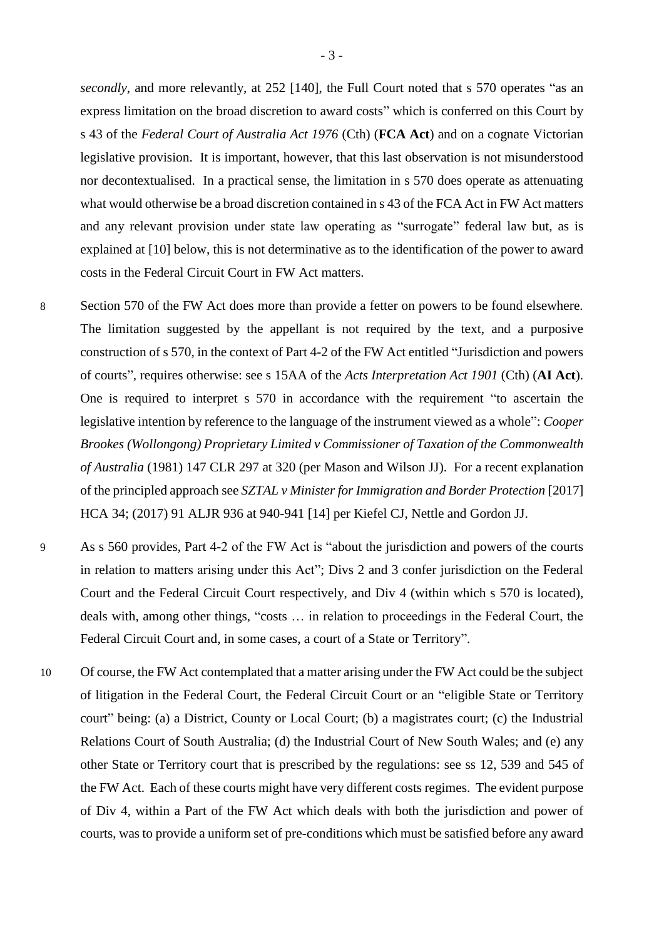secondly, and more relevantly, at 252 [140], the Full Court noted that s 570 operates "as an express limitation on the broad discretion to award costs" which is conferred on this Court by s 43 of the *Federal Court of Australia Act 1976* (Cth) (**FCA Act**) and on a cognate Victorian legislative provision. It is important, however, that this last observation is not misunderstood nor decontextualised. In a practical sense, the limitation in s 570 does operate as attenuating what would otherwise be a broad discretion contained in s 43 of the FCA Act in FW Act matters and any relevant provision under state law operating as "surrogate" federal law but, as is explained at [10] below, this is not determinative as to the identification of the power to award costs in the Federal Circuit Court in FW Act matters.

- 8 Section 570 of the FW Act does more than provide a fetter on powers to be found elsewhere. The limitation suggested by the appellant is not required by the text, and a purposive construction of s 570, in the context of Part 4-2 of the FW Act entitled "Jurisdiction and powers of courts", requires otherwise: see s 15AA of the *Acts Interpretation Act 1901* (Cth) (**AI Act**). One is required to interpret s 570 in accordance with the requirement "to ascertain the legislative intention by reference to the language of the instrument viewed as a whole": *Cooper Brookes (Wollongong) Proprietary Limited v Commissioner of Taxation of the Commonwealth of Australia* (1981) 147 CLR 297 at 320 (per Mason and Wilson JJ). For a recent explanation of the principled approach see *SZTAL v Minister for Immigration and Border Protection* [2017] HCA 34; (2017) 91 ALJR 936 at 940-941 [14] per Kiefel CJ, Nettle and Gordon JJ.
- 9 As s 560 provides, Part 4-2 of the FW Act is "about the jurisdiction and powers of the courts in relation to matters arising under this Act"; Divs 2 and 3 confer jurisdiction on the Federal Court and the Federal Circuit Court respectively, and Div 4 (within which s 570 is located), deals with, among other things, "costs … in relation to proceedings in the Federal Court, the Federal Circuit Court and, in some cases, a court of a State or Territory".
- 10 Of course, the FW Act contemplated that a matter arising under the FW Act could be the subject of litigation in the Federal Court, the Federal Circuit Court or an "eligible State or Territory court" being: (a) a District, County or Local Court; (b) a magistrates court; (c) the Industrial Relations Court of South Australia; (d) the Industrial Court of New South Wales; and (e) any other State or Territory court that is prescribed by the regulations: see ss 12, 539 and 545 of the FW Act. Each of these courts might have very different costs regimes. The evident purpose of Div 4, within a Part of the FW Act which deals with both the jurisdiction and power of courts, was to provide a uniform set of pre-conditions which must be satisfied before any award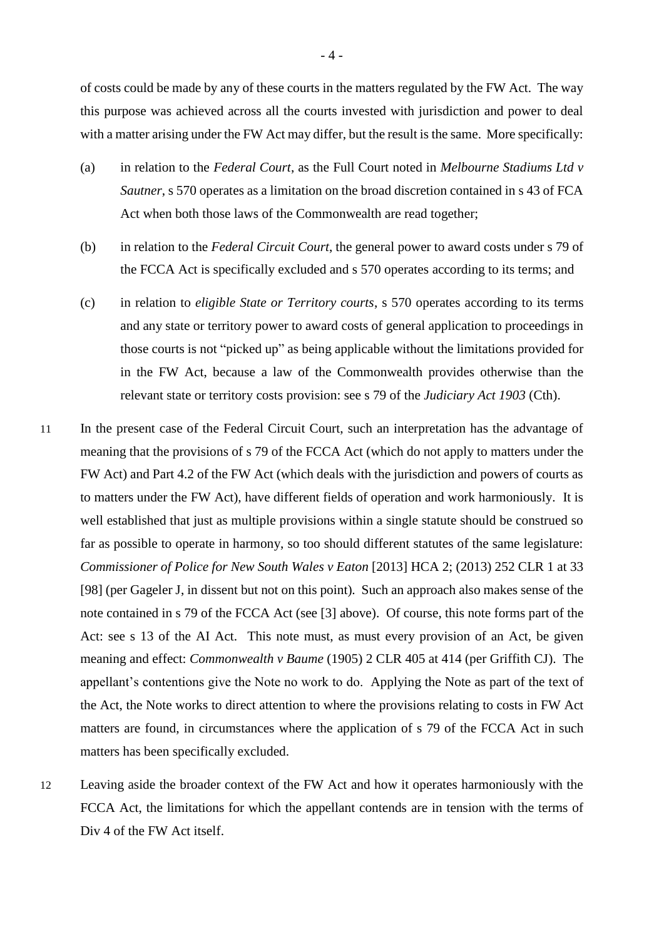of costs could be made by any of these courts in the matters regulated by the FW Act. The way this purpose was achieved across all the courts invested with jurisdiction and power to deal with a matter arising under the FW Act may differ, but the result is the same. More specifically:

- (a) in relation to the *Federal Court*, as the Full Court noted in *Melbourne Stadiums Ltd v Sautner*, s 570 operates as a limitation on the broad discretion contained in s 43 of FCA Act when both those laws of the Commonwealth are read together;
- (b) in relation to the *Federal Circuit Court*, the general power to award costs under s 79 of the FCCA Act is specifically excluded and s 570 operates according to its terms; and
- (c) in relation to *eligible State or Territory courts*, s 570 operates according to its terms and any state or territory power to award costs of general application to proceedings in those courts is not "picked up" as being applicable without the limitations provided for in the FW Act, because a law of the Commonwealth provides otherwise than the relevant state or territory costs provision: see s 79 of the *Judiciary Act 1903* (Cth).
- 11 In the present case of the Federal Circuit Court, such an interpretation has the advantage of meaning that the provisions of s 79 of the FCCA Act (which do not apply to matters under the FW Act) and Part 4.2 of the FW Act (which deals with the jurisdiction and powers of courts as to matters under the FW Act), have different fields of operation and work harmoniously. It is well established that just as multiple provisions within a single statute should be construed so far as possible to operate in harmony, so too should different statutes of the same legislature: *Commissioner of Police for New South Wales v Eaton* [2013] HCA 2; (2013) 252 CLR 1 at 33 [98] (per Gageler J, in dissent but not on this point). Such an approach also makes sense of the note contained in s 79 of the FCCA Act (see [3] above). Of course, this note forms part of the Act: see s 13 of the AI Act. This note must, as must every provision of an Act, be given meaning and effect: *Commonwealth v Baume* (1905) 2 CLR 405 at 414 (per Griffith CJ). The appellant's contentions give the Note no work to do. Applying the Note as part of the text of the Act, the Note works to direct attention to where the provisions relating to costs in FW Act matters are found, in circumstances where the application of s 79 of the FCCA Act in such matters has been specifically excluded.
- 12 Leaving aside the broader context of the FW Act and how it operates harmoniously with the FCCA Act, the limitations for which the appellant contends are in tension with the terms of Div 4 of the FW Act itself.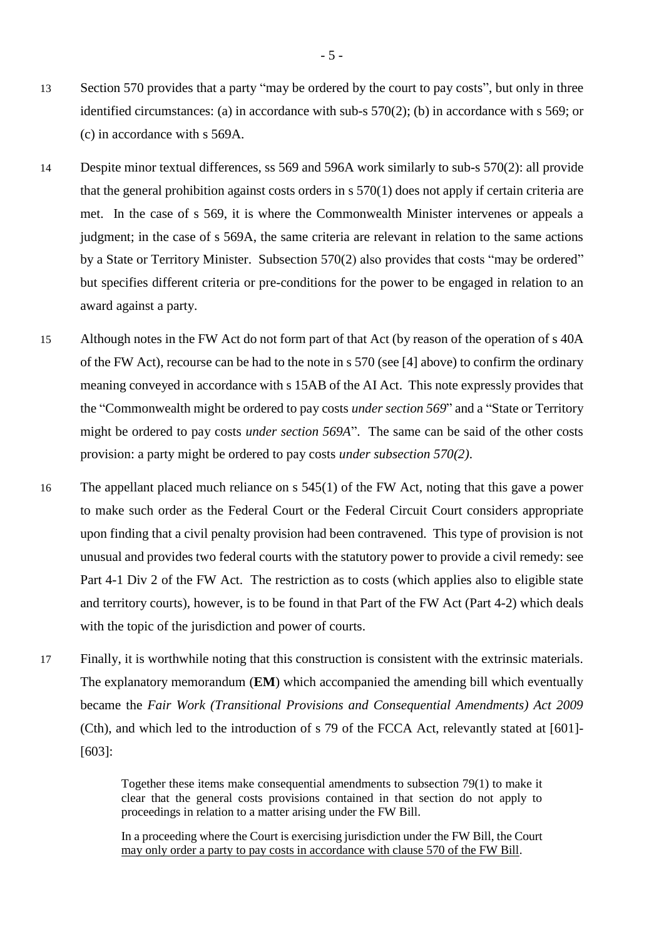- 13 Section 570 provides that a party "may be ordered by the court to pay costs", but only in three identified circumstances: (a) in accordance with sub-s 570(2); (b) in accordance with s 569; or (c) in accordance with s 569A.
- 14 Despite minor textual differences, ss 569 and 596A work similarly to sub-s 570(2): all provide that the general prohibition against costs orders in s 570(1) does not apply if certain criteria are met. In the case of s 569, it is where the Commonwealth Minister intervenes or appeals a judgment; in the case of s 569A, the same criteria are relevant in relation to the same actions by a State or Territory Minister. Subsection 570(2) also provides that costs "may be ordered" but specifies different criteria or pre-conditions for the power to be engaged in relation to an award against a party.
- 15 Although notes in the FW Act do not form part of that Act (by reason of the operation of s 40A of the FW Act), recourse can be had to the note in s 570 (see [4] above) to confirm the ordinary meaning conveyed in accordance with s 15AB of the AI Act. This note expressly provides that the "Commonwealth might be ordered to pay costs *under section 569*" and a "State or Territory might be ordered to pay costs *under section 569A*". The same can be said of the other costs provision: a party might be ordered to pay costs *under subsection 570(2)*.
- 16 The appellant placed much reliance on s 545(1) of the FW Act, noting that this gave a power to make such order as the Federal Court or the Federal Circuit Court considers appropriate upon finding that a civil penalty provision had been contravened. This type of provision is not unusual and provides two federal courts with the statutory power to provide a civil remedy: see Part 4-1 Div 2 of the FW Act. The restriction as to costs (which applies also to eligible state and territory courts), however, is to be found in that Part of the FW Act (Part 4-2) which deals with the topic of the jurisdiction and power of courts.
- 17 Finally, it is worthwhile noting that this construction is consistent with the extrinsic materials. The explanatory memorandum (**EM**) which accompanied the amending bill which eventually became the *Fair Work (Transitional Provisions and Consequential Amendments) Act 2009* (Cth), and which led to the introduction of s 79 of the FCCA Act, relevantly stated at [601]- [603]:

Together these items make consequential amendments to subsection 79(1) to make it clear that the general costs provisions contained in that section do not apply to proceedings in relation to a matter arising under the FW Bill.

In a proceeding where the Court is exercising jurisdiction under the FW Bill, the Court may only order a party to pay costs in accordance with clause 570 of the FW Bill.